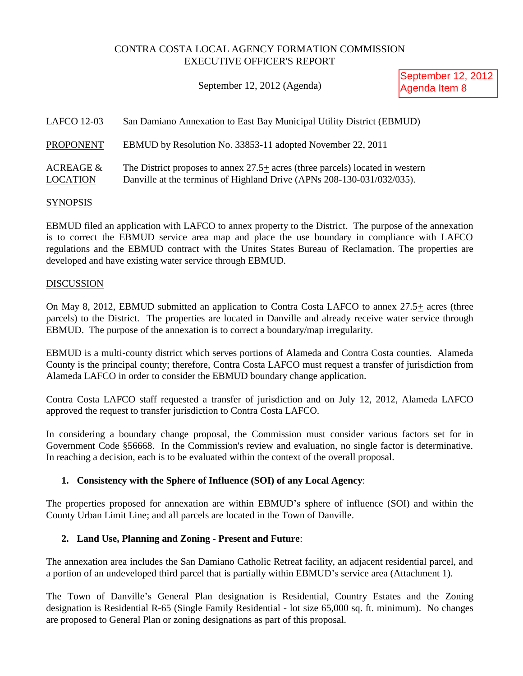# CONTRA COSTA LOCAL AGENCY FORMATION COMMISSION EXECUTIVE OFFICER'S REPORT

September 12, 2012 (Agenda)

September 12, 2012 Agenda Item 8

| <b>LAFCO 12-03</b>                      | San Damiano Annexation to East Bay Municipal Utility District (EBMUD)                                                                                   |
|-----------------------------------------|---------------------------------------------------------------------------------------------------------------------------------------------------------|
| <b>PROPONENT</b>                        | EBMUD by Resolution No. 33853-11 adopted November 22, 2011                                                                                              |
| <b>ACREAGE &amp;</b><br><b>LOCATION</b> | The District proposes to annex 27.5+ acres (three parcels) located in western<br>Danville at the terminus of Highland Drive (APNs 208-130-031/032/035). |

## **SYNOPSIS**

EBMUD filed an application with LAFCO to annex property to the District. The purpose of the annexation is to correct the EBMUD service area map and place the use boundary in compliance with LAFCO regulations and the EBMUD contract with the Unites States Bureau of Reclamation. The properties are developed and have existing water service through EBMUD.

## **DISCUSSION**

On May 8, 2012, EBMUD submitted an application to Contra Costa LAFCO to annex  $27.5\pm$  acres (three parcels) to the District. The properties are located in Danville and already receive water service through EBMUD. The purpose of the annexation is to correct a boundary/map irregularity.

EBMUD is a multi-county district which serves portions of Alameda and Contra Costa counties. Alameda County is the principal county; therefore, Contra Costa LAFCO must request a transfer of jurisdiction from Alameda LAFCO in order to consider the EBMUD boundary change application.

Contra Costa LAFCO staff requested a transfer of jurisdiction and on July 12, 2012, Alameda LAFCO approved the request to transfer jurisdiction to Contra Costa LAFCO.

In considering a boundary change proposal, the Commission must consider various factors set for in Government Code §56668. In the Commission's review and evaluation, no single factor is determinative. In reaching a decision, each is to be evaluated within the context of the overall proposal.

# **1. Consistency with the Sphere of Influence (SOI) of any Local Agency**:

The properties proposed for annexation are within EBMUD's sphere of influence (SOI) and within the County Urban Limit Line; and all parcels are located in the Town of Danville.

# **2. Land Use, Planning and Zoning - Present and Future**:

The annexation area includes the San Damiano Catholic Retreat facility, an adjacent residential parcel, and a portion of an undeveloped third parcel that is partially within EBMUD's service area (Attachment 1).

The Town of Danville's General Plan designation is Residential, Country Estates and the Zoning designation is Residential R-65 (Single Family Residential - lot size 65,000 sq. ft. minimum). No changes are proposed to General Plan or zoning designations as part of this proposal.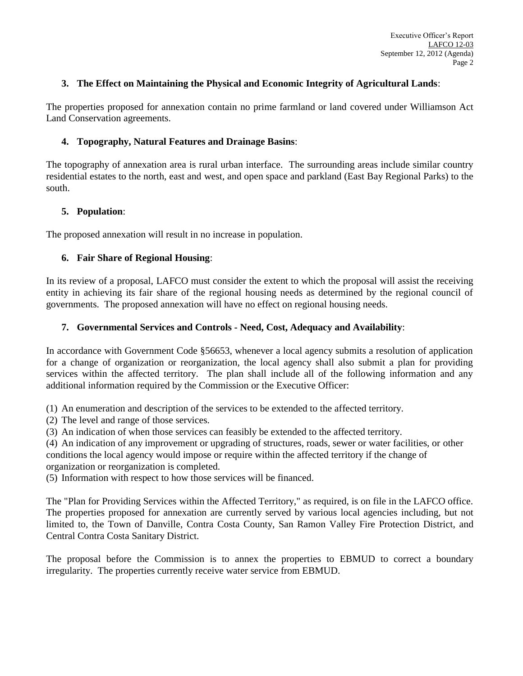## **3. The Effect on Maintaining the Physical and Economic Integrity of Agricultural Lands**:

The properties proposed for annexation contain no prime farmland or land covered under Williamson Act Land Conservation agreements.

## **4. Topography, Natural Features and Drainage Basins**:

The topography of annexation area is rural urban interface. The surrounding areas include similar country residential estates to the north, east and west, and open space and parkland (East Bay Regional Parks) to the south.

## **5. Population**:

The proposed annexation will result in no increase in population.

## **6. Fair Share of Regional Housing**:

In its review of a proposal, LAFCO must consider the extent to which the proposal will assist the receiving entity in achieving its fair share of the regional housing needs as determined by the regional council of governments. The proposed annexation will have no effect on regional housing needs.

## **7. Governmental Services and Controls - Need, Cost, Adequacy and Availability**:

In accordance with Government Code §56653, whenever a local agency submits a resolution of application for a change of organization or reorganization, the local agency shall also submit a plan for providing services within the affected territory. The plan shall include all of the following information and any additional information required by the Commission or the Executive Officer:

(1) An enumeration and description of the services to be extended to the affected territory.

(2) The level and range of those services.

(3) An indication of when those services can feasibly be extended to the affected territory.

(4) An indication of any improvement or upgrading of structures, roads, sewer or water facilities, or other conditions the local agency would impose or require within the affected territory if the change of organization or reorganization is completed.

(5) Information with respect to how those services will be financed.

The "Plan for Providing Services within the Affected Territory," as required, is on file in the LAFCO office. The properties proposed for annexation are currently served by various local agencies including, but not limited to, the Town of Danville, Contra Costa County, San Ramon Valley Fire Protection District, and Central Contra Costa Sanitary District.

The proposal before the Commission is to annex the properties to EBMUD to correct a boundary irregularity. The properties currently receive water service from EBMUD.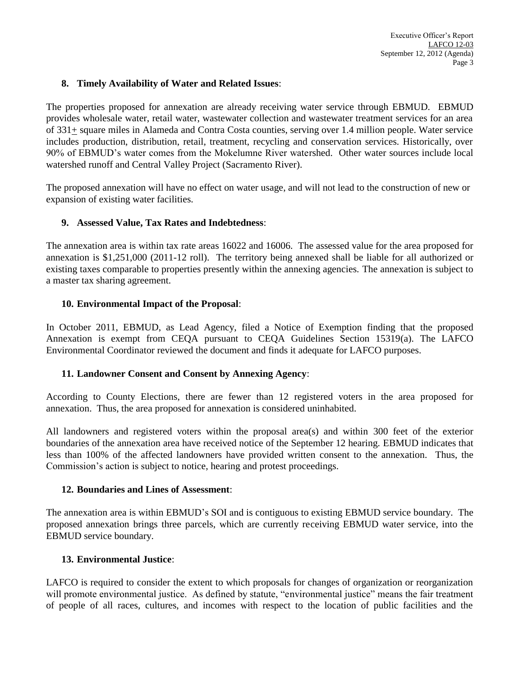## **8. Timely Availability of Water and Related Issues**:

The properties proposed for annexation are already receiving water service through EBMUD. EBMUD provides wholesale water, retail water, wastewater collection and wastewater treatment services for an area of 331+ square miles in Alameda and Contra Costa counties, serving over 1.4 million people. Water service includes production, distribution, retail, treatment, recycling and conservation services. Historically, over 90% of EBMUD's water comes from the Mokelumne River watershed. Other water sources include local watershed runoff and Central Valley Project (Sacramento River).

The proposed annexation will have no effect on water usage, and will not lead to the construction of new or expansion of existing water facilities.

## **9. Assessed Value, Tax Rates and Indebtedness**:

The annexation area is within tax rate areas 16022 and 16006. The assessed value for the area proposed for annexation is \$1,251,000 (2011-12 roll). The territory being annexed shall be liable for all authorized or existing taxes comparable to properties presently within the annexing agencies. The annexation is subject to a master tax sharing agreement.

## **10. Environmental Impact of the Proposal**:

In October 2011, EBMUD, as Lead Agency, filed a Notice of Exemption finding that the proposed Annexation is exempt from CEQA pursuant to CEQA Guidelines Section 15319(a). The LAFCO Environmental Coordinator reviewed the document and finds it adequate for LAFCO purposes.

#### **11. Landowner Consent and Consent by Annexing Agency**:

According to County Elections, there are fewer than 12 registered voters in the area proposed for annexation. Thus, the area proposed for annexation is considered uninhabited.

All landowners and registered voters within the proposal area(s) and within 300 feet of the exterior boundaries of the annexation area have received notice of the September 12 hearing. EBMUD indicates that less than 100% of the affected landowners have provided written consent to the annexation. Thus, the Commission's action is subject to notice, hearing and protest proceedings.

#### **12. Boundaries and Lines of Assessment**:

The annexation area is within EBMUD's SOI and is contiguous to existing EBMUD service boundary. The proposed annexation brings three parcels, which are currently receiving EBMUD water service, into the EBMUD service boundary.

## **13. Environmental Justice**:

LAFCO is required to consider the extent to which proposals for changes of organization or reorganization will promote environmental justice. As defined by statute, "environmental justice" means the fair treatment of people of all races, cultures, and incomes with respect to the location of public facilities and the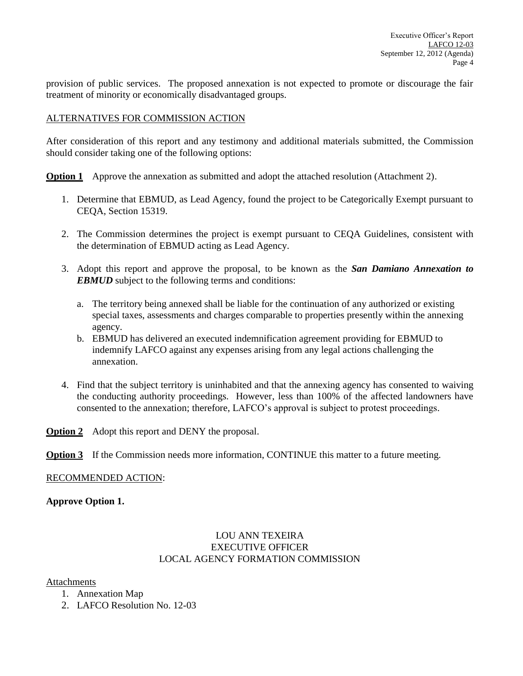provision of public services. The proposed annexation is not expected to promote or discourage the fair treatment of minority or economically disadvantaged groups.

## ALTERNATIVES FOR COMMISSION ACTION

After consideration of this report and any testimony and additional materials submitted, the Commission should consider taking one of the following options:

**Option 1** Approve the annexation as submitted and adopt the attached resolution (Attachment 2).

- 1. Determine that EBMUD, as Lead Agency, found the project to be Categorically Exempt pursuant to CEQA, Section 15319.
- 2. The Commission determines the project is exempt pursuant to CEQA Guidelines, consistent with the determination of EBMUD acting as Lead Agency.
- 3. Adopt this report and approve the proposal, to be known as the *San Damiano Annexation to EBMUD* subject to the following terms and conditions:
	- a. The territory being annexed shall be liable for the continuation of any authorized or existing special taxes, assessments and charges comparable to properties presently within the annexing agency.
	- b. EBMUD has delivered an executed indemnification agreement providing for EBMUD to indemnify LAFCO against any expenses arising from any legal actions challenging the annexation.
- 4. Find that the subject territory is uninhabited and that the annexing agency has consented to waiving the conducting authority proceedings. However, less than 100% of the affected landowners have consented to the annexation; therefore, LAFCO's approval is subject to protest proceedings.
- **Option 2** Adopt this report and DENY the proposal.
- **Option 3** If the Commission needs more information, CONTINUE this matter to a future meeting.

#### RECOMMENDED ACTION:

## **Approve Option 1.**

## LOU ANN TEXEIRA EXECUTIVE OFFICER LOCAL AGENCY FORMATION COMMISSION

#### Attachments

- 1. Annexation Map
- 2. LAFCO Resolution No. 12-03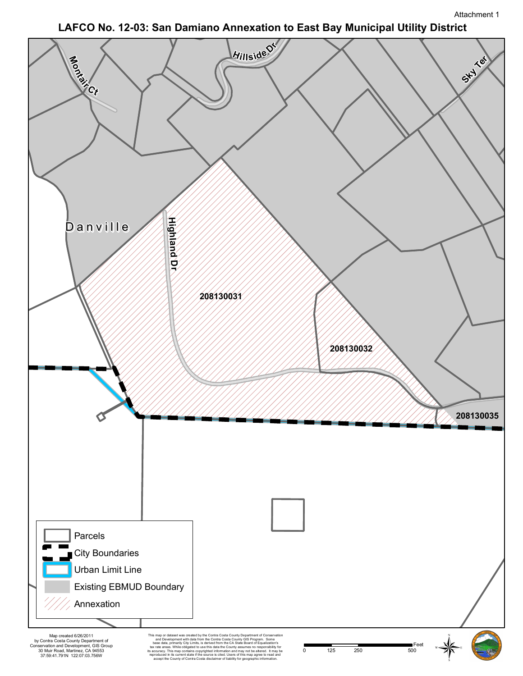# **LAFCO No. 12-03: San Damiano Annexation to East Bay Municipal Utility District**

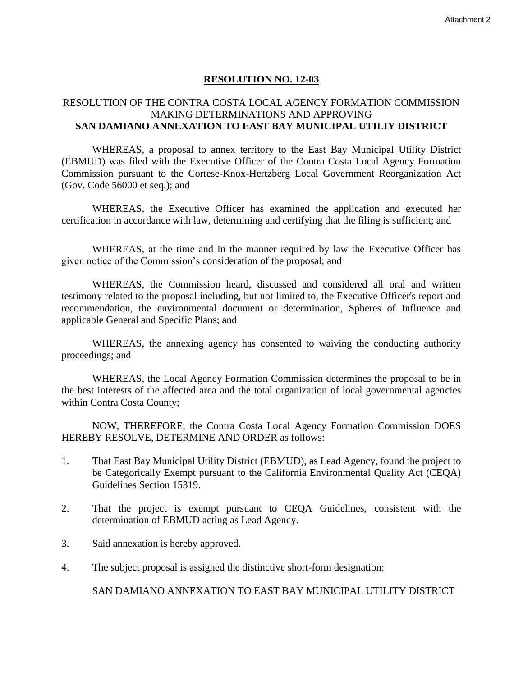## **RESOLUTION NO. 12-03**

# RESOLUTION OF THE CONTRA COSTA LOCAL AGENCY FORMATION COMMISSION MAKING DETERMINATIONS AND APPROVING **SAN DAMIANO ANNEXATION TO EAST BAY MUNICIPAL UTILIY DISTRICT**

WHEREAS, a proposal to annex territory to the East Bay Municipal Utility District (EBMUD) was filed with the Executive Officer of the Contra Costa Local Agency Formation Commission pursuant to the Cortese-Knox-Hertzberg Local Government Reorganization Act (Gov. Code 56000 et seq.); and

WHEREAS, the Executive Officer has examined the application and executed her certification in accordance with law, determining and certifying that the filing is sufficient; and

WHEREAS, at the time and in the manner required by law the Executive Officer has given notice of the Commission's consideration of the proposal; and

WHEREAS, the Commission heard, discussed and considered all oral and written testimony related to the proposal including, but not limited to, the Executive Officer's report and recommendation, the environmental document or determination, Spheres of Influence and applicable General and Specific Plans; and

WHEREAS, the annexing agency has consented to waiving the conducting authority proceedings; and

WHEREAS, the Local Agency Formation Commission determines the proposal to be in the best interests of the affected area and the total organization of local governmental agencies within Contra Costa County;

NOW, THEREFORE, the Contra Costa Local Agency Formation Commission DOES HEREBY RESOLVE, DETERMINE AND ORDER as follows:

- 1. That East Bay Municipal Utility District (EBMUD), as Lead Agency, found the project to be Categorically Exempt pursuant to the California Environmental Quality Act (CEQA) Guidelines Section 15319.
- 2. That the project is exempt pursuant to CEQA Guidelines, consistent with the determination of EBMUD acting as Lead Agency.
- 3. Said annexation is hereby approved.
- 4. The subject proposal is assigned the distinctive short-form designation:

SAN DAMIANO ANNEXATION TO EAST BAY MUNICIPAL UTILITY DISTRICT